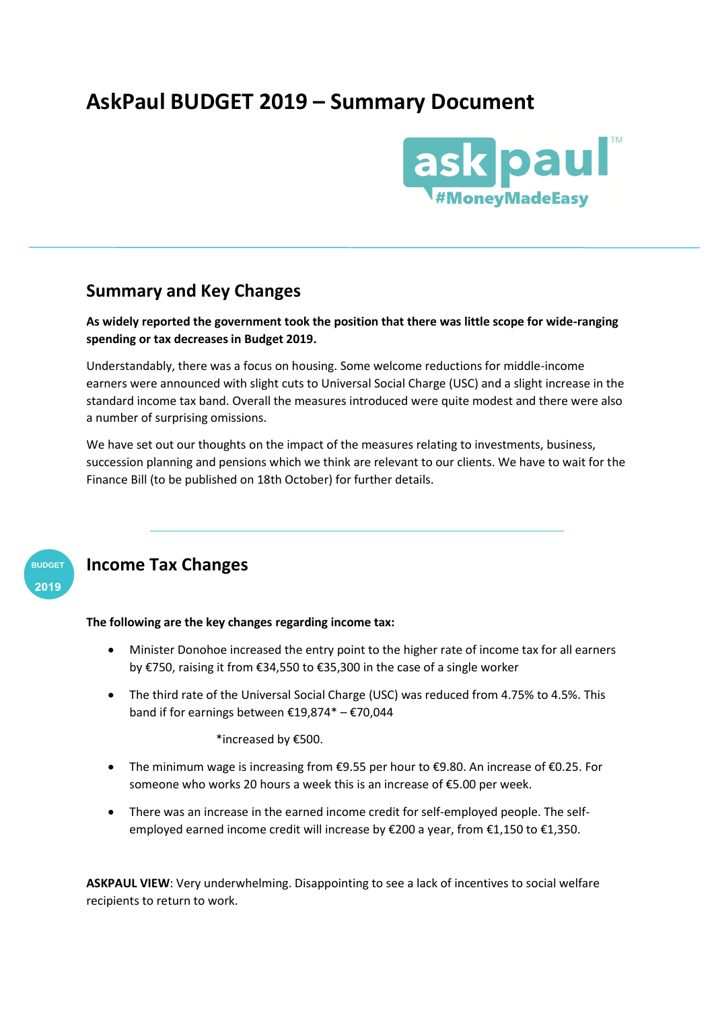# **AskPaul BUDGET 2019 – Summary Document**



### **Summary and Key Changes**

**As widely reported the government took the position that there was little scope for wide-ranging spending or tax decreases in Budget 2019.**

Understandably, there was a focus on housing. Some welcome reductions for middle-income earners were announced with slight cuts to Universal Social Charge (USC) and a slight increase in the standard income tax band. Overall the measures introduced were quite modest and there were also a number of surprising omissions.

We have set out our thoughts on the impact of the measures relating to investments, business, succession planning and pensions which we think are relevant to our clients. We have to wait for the Finance Bill (to be published on 18th October) for further details.



### **Income Tax Changes**

#### **The following are the key changes regarding income tax:**

- Minister Donohoe increased the entry point to the higher rate of income tax for all earners by €750, raising it from €34,550 to €35,300 in the case of a single worker
- The third rate of the Universal Social Charge (USC) was reduced from 4.75% to 4.5%. This band if for earnings between €19,874\* – €70,044

\*increased by €500.

- The minimum wage is increasing from €9.55 per hour to €9.80. An increase of €0.25. For someone who works 20 hours a week this is an increase of €5.00 per week.
- There was an increase in the earned income credit for self-employed people. The selfemployed earned income credit will increase by €200 a year, from €1,150 to €1,350.

**ASKPAUL VIEW**: Very underwhelming. Disappointing to see a lack of incentives to social welfare recipients to return to work.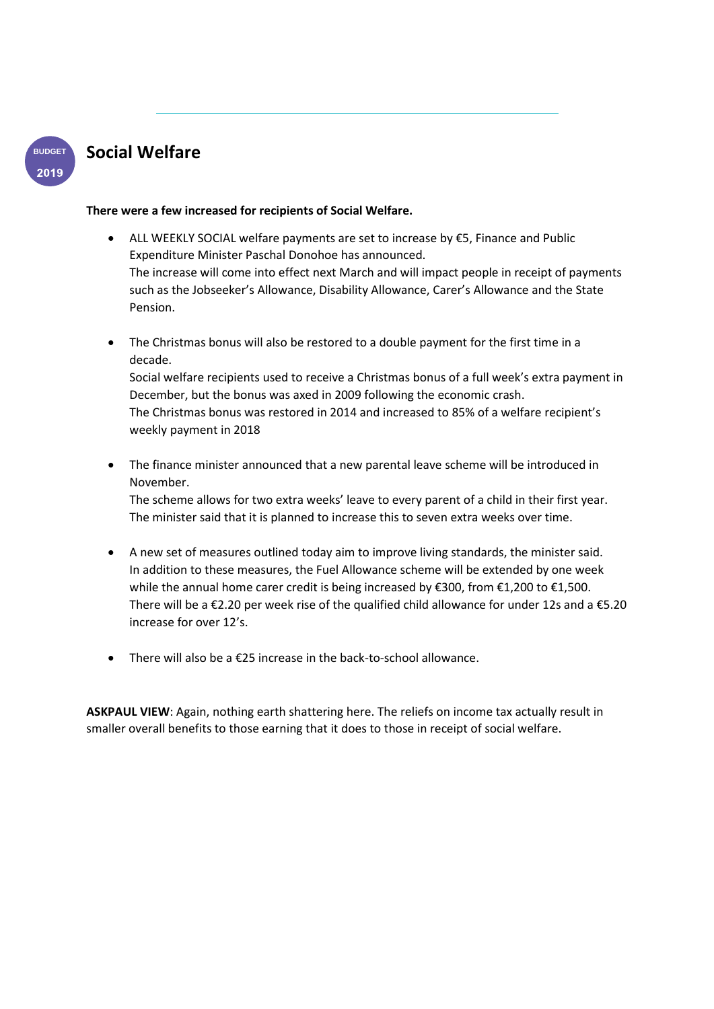

### **Social Welfare**

#### **There were a few increased for recipients of Social Welfare.**

- ALL WEEKLY SOCIAL welfare payments are set to increase by  $E$ 5, Finance and Public Expenditure Minister Paschal Donohoe has announced. The increase will come into effect next March and will impact people in receipt of payments such as the Jobseeker's Allowance, Disability Allowance, Carer's Allowance and the State Pension.
- The Christmas bonus will also be restored to a double payment for the first time in a decade. Social welfare recipients used to receive a Christmas bonus of a full week's extra payment in December, but the bonus was axed in 2009 following the economic crash. The Christmas bonus was restored in 2014 and increased to 85% of a welfare recipient's

```
weekly payment in 2018
```
• The finance minister announced that a new parental leave scheme will be introduced in November.

The scheme allows for two extra weeks' leave to every parent of a child in their first year. The minister said that it is planned to increase this to seven extra weeks over time.

- A new set of measures outlined today aim to improve living standards, the minister said. In addition to these measures, the Fuel Allowance scheme will be extended by one week while the annual home carer credit is being increased by €300, from €1,200 to €1,500. There will be a  $\epsilon$ 2.20 per week rise of the qualified child allowance for under 12s and a  $\epsilon$ 5.20 increase for over 12's.
- There will also be a €25 increase in the back-to-school allowance.

**ASKPAUL VIEW**: Again, nothing earth shattering here. The reliefs on income tax actually result in smaller overall benefits to those earning that it does to those in receipt of social welfare.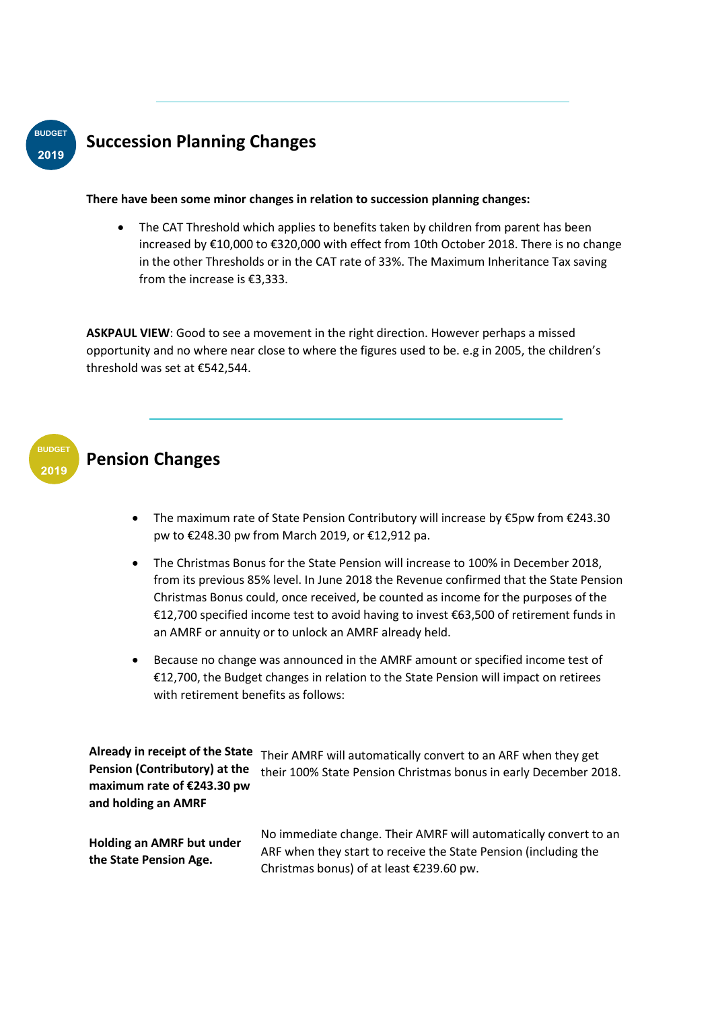

## **Succession Planning Changes**

#### **There have been some minor changes in relation to succession planning changes:**

The CAT Threshold which applies to benefits taken by children from parent has been increased by €10,000 to €320,000 with effect from 10th October 2018. There is no change in the other Thresholds or in the CAT rate of 33%. The Maximum Inheritance Tax saving from the increase is €3,333.

**ASKPAUL VIEW**: Good to see a movement in the right direction. However perhaps a missed opportunity and no where near close to where the figures used to be. e.g in 2005, the children's threshold was set at €542,544.



### **Pension Changes**

- The maximum rate of State Pension Contributory will increase by €5pw from €243.30 pw to €248.30 pw from March 2019, or €12,912 pa.
- The Christmas Bonus for the State Pension will increase to 100% in December 2018, from its previous 85% level. In June 2018 the Revenue confirmed that the State Pension Christmas Bonus could, once received, be counted as income for the purposes of the €12,700 specified income test to avoid having to invest €63,500 of retirement funds in an AMRF or annuity or to unlock an AMRF already held.
- Because no change was announced in the AMRF amount or specified income test of €12,700, the Budget changes in relation to the State Pension will impact on retirees with retirement benefits as follows:

**Already in receipt of the State**  Their AMRF will automatically convert to an ARF when they get **Pension (Contributory) at the maximum rate of €243.30 pw and holding an AMRF** their 100% State Pension Christmas bonus in early December 2018.

**Holding an AMRF but under the State Pension Age.**

No immediate change. Their AMRF will automatically convert to an ARF when they start to receive the State Pension (including the Christmas bonus) of at least €239.60 pw.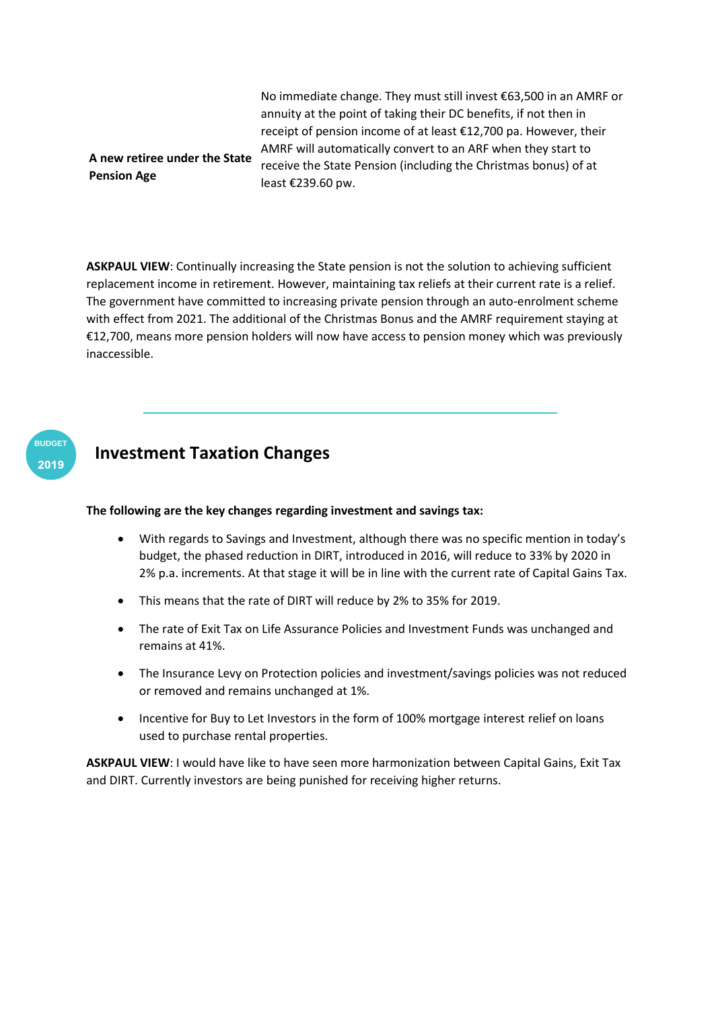**A new retiree under the State**  No immediate change. They must still invest €63,500 in an AMRF or annuity at the point of taking their DC benefits, if not then in receipt of pension income of at least €12,700 pa. However, their AMRF will automatically convert to an ARF when they start to receive the State Pension (including the Christmas bonus) of at least €239.60 pw.

**ASKPAUL VIEW**: Continually increasing the State pension is not the solution to achieving sufficient replacement income in retirement. However, maintaining tax reliefs at their current rate is a relief. The government have committed to increasing private pension through an auto-enrolment scheme with effect from 2021. The additional of the Christmas Bonus and the AMRF requirement staying at €12,700, means more pension holders will now have access to pension money which was previously inaccessible.



**Pension Age**

### **Investment Taxation Changes**

#### **The following are the key changes regarding investment and savings tax:**

- With regards to Savings and Investment, although there was no specific mention in today's budget, the phased reduction in DIRT, introduced in 2016, will reduce to 33% by 2020 in 2% p.a. increments. At that stage it will be in line with the current rate of Capital Gains Tax.
- This means that the rate of DIRT will reduce by 2% to 35% for 2019.
- The rate of Exit Tax on Life Assurance Policies and Investment Funds was unchanged and remains at 41%.
- The Insurance Levy on Protection policies and investment/savings policies was not reduced or removed and remains unchanged at 1%.
- Incentive for Buy to Let Investors in the form of 100% mortgage interest relief on loans used to purchase rental properties.

**ASKPAUL VIEW**: I would have like to have seen more harmonization between Capital Gains, Exit Tax and DIRT. Currently investors are being punished for receiving higher returns.